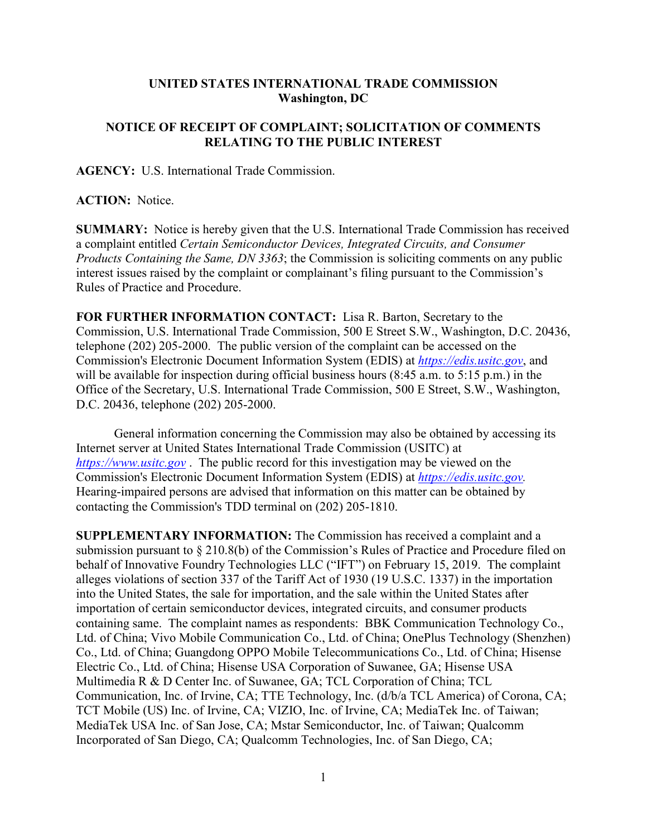## **UNITED STATES INTERNATIONAL TRADE COMMISSION Washington, DC**

## **NOTICE OF RECEIPT OF COMPLAINT; SOLICITATION OF COMMENTS RELATING TO THE PUBLIC INTEREST**

**AGENCY:** U.S. International Trade Commission.

## **ACTION:** Notice.

**SUMMARY:** Notice is hereby given that the U.S. International Trade Commission has received a complaint entitled *Certain Semiconductor Devices, Integrated Circuits, and Consumer Products Containing the Same, DN 3363*; the Commission is soliciting comments on any public interest issues raised by the complaint or complainant's filing pursuant to the Commission's Rules of Practice and Procedure.

**FOR FURTHER INFORMATION CONTACT:** Lisa R. Barton, Secretary to the Commission, U.S. International Trade Commission, 500 E Street S.W., Washington, D.C. 20436, telephone (202) 205-2000. The public version of the complaint can be accessed on the Commission's Electronic Document Information System (EDIS) at *[https://edis.usitc.gov](https://edis.usitc.gov/)*, and will be available for inspection during official business hours (8:45 a.m. to 5:15 p.m.) in the Office of the Secretary, U.S. International Trade Commission, 500 E Street, S.W., Washington, D.C. 20436, telephone (202) 205-2000.

General information concerning the Commission may also be obtained by accessing its Internet server at United States International Trade Commission (USITC) at *[https://www.usitc.gov](https://www.usitc.gov/)* . The public record for this investigation may be viewed on the Commission's Electronic Document Information System (EDIS) at *[https://edis.usitc.gov.](https://edis.usitc.gov/)* Hearing-impaired persons are advised that information on this matter can be obtained by contacting the Commission's TDD terminal on (202) 205-1810.

**SUPPLEMENTARY INFORMATION:** The Commission has received a complaint and a submission pursuant to § 210.8(b) of the Commission's Rules of Practice and Procedure filed on behalf of Innovative Foundry Technologies LLC ("IFT") on February 15, 2019. The complaint alleges violations of section 337 of the Tariff Act of 1930 (19 U.S.C. 1337) in the importation into the United States, the sale for importation, and the sale within the United States after importation of certain semiconductor devices, integrated circuits, and consumer products containing same. The complaint names as respondents: BBK Communication Technology Co., Ltd. of China; Vivo Mobile Communication Co., Ltd. of China; OnePlus Technology (Shenzhen) Co., Ltd. of China; Guangdong OPPO Mobile Telecommunications Co., Ltd. of China; Hisense Electric Co., Ltd. of China; Hisense USA Corporation of Suwanee, GA; Hisense USA Multimedia R & D Center Inc. of Suwanee, GA; TCL Corporation of China; TCL Communication, Inc. of Irvine, CA; TTE Technology, Inc. (d/b/a TCL America) of Corona, CA; TCT Mobile (US) Inc. of Irvine, CA; VIZIO, Inc. of Irvine, CA; MediaTek Inc. of Taiwan; MediaTek USA Inc. of San Jose, CA; Mstar Semiconductor, Inc. of Taiwan; Qualcomm Incorporated of San Diego, CA; Qualcomm Technologies, Inc. of San Diego, CA;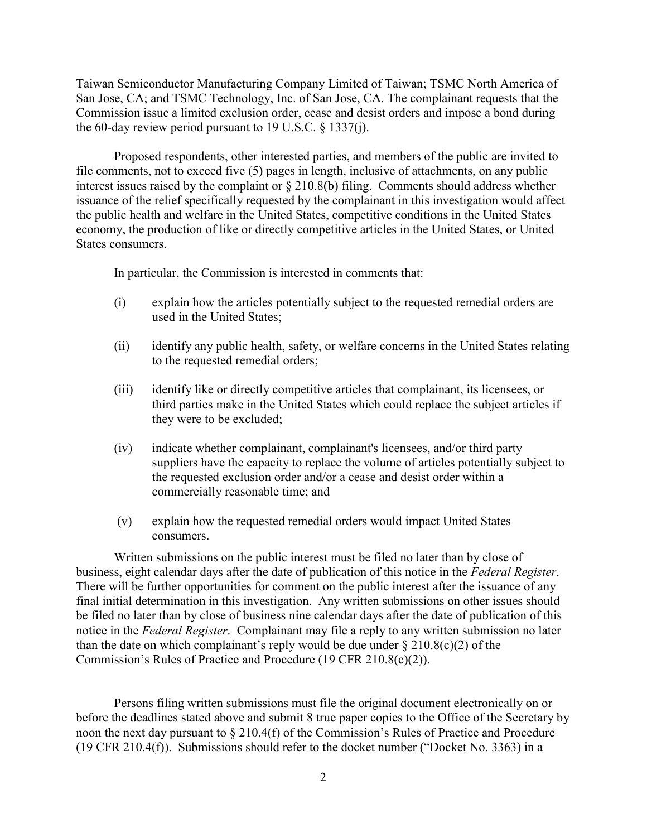Taiwan Semiconductor Manufacturing Company Limited of Taiwan; TSMC North America of San Jose, CA; and TSMC Technology, Inc. of San Jose, CA. The complainant requests that the Commission issue a limited exclusion order, cease and desist orders and impose a bond during the 60-day review period pursuant to 19 U.S.C.  $\S$  1337(j).

Proposed respondents, other interested parties, and members of the public are invited to file comments, not to exceed five (5) pages in length, inclusive of attachments, on any public interest issues raised by the complaint or § 210.8(b) filing. Comments should address whether issuance of the relief specifically requested by the complainant in this investigation would affect the public health and welfare in the United States, competitive conditions in the United States economy, the production of like or directly competitive articles in the United States, or United States consumers.

In particular, the Commission is interested in comments that:

- (i) explain how the articles potentially subject to the requested remedial orders are used in the United States;
- (ii) identify any public health, safety, or welfare concerns in the United States relating to the requested remedial orders;
- (iii) identify like or directly competitive articles that complainant, its licensees, or third parties make in the United States which could replace the subject articles if they were to be excluded;
- (iv) indicate whether complainant, complainant's licensees, and/or third party suppliers have the capacity to replace the volume of articles potentially subject to the requested exclusion order and/or a cease and desist order within a commercially reasonable time; and
- (v) explain how the requested remedial orders would impact United States consumers.

Written submissions on the public interest must be filed no later than by close of business, eight calendar days after the date of publication of this notice in the *Federal Register*. There will be further opportunities for comment on the public interest after the issuance of any final initial determination in this investigation. Any written submissions on other issues should be filed no later than by close of business nine calendar days after the date of publication of this notice in the *Federal Register*. Complainant may file a reply to any written submission no later than the date on which complainant's reply would be due under  $\S 210.8(c)(2)$  of the Commission's Rules of Practice and Procedure (19 CFR 210.8(c)(2)).

Persons filing written submissions must file the original document electronically on or before the deadlines stated above and submit 8 true paper copies to the Office of the Secretary by noon the next day pursuant to § 210.4(f) of the Commission's Rules of Practice and Procedure (19 CFR 210.4(f)). Submissions should refer to the docket number ("Docket No. 3363) in a